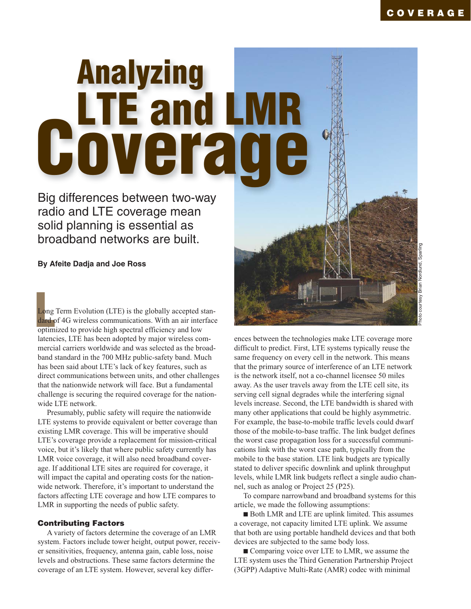# **Analyzing Coverage**

Big differences between two-way radio and LTE coverage mean solid planning is essential as broadband networks are built.

## **By Afeite Dadja and Joe Ross**

Long Term Evolution (LTE) is the globally accepted s<br>
dard of 4G wireless communications. With an air inte<br>
optimized to provide high spectral efficiency and low<br>
optimized Lorente and the maximum<br>
spectral continuously an Long Term Evolution (LTE) is the globally accepted standard of 4G wireless communications. With an air interface latencies, LTE has been adopted by major wireless commercial carriers worldwide and was selected as the broadband standard in the 700 MHz public-safety band. Much has been said about LTE's lack of key features, such as direct communications between units, and other challenges that the nationwide network will face. But a fundamental challenge is securing the required coverage for the nationwide LTE network.

Presumably, public safety will require the nationwide LTE systems to provide equivalent or better coverage than existing LMR coverage. This will be imperative should LTE's coverage provide a replacement for mission-critical voice, but it's likely that where public safety currently has LMR voice coverage, it will also need broadband coverage. If additional LTE sites are required for coverage, it will impact the capital and operating costs for the nationwide network. Therefore, it's important to understand the factors affecting LTE coverage and how LTE compares to LMR in supporting the needs of public safety.

#### **Contributing Factors**

A variety of factors determine the coverage of an LMR system. Factors include tower height, output power, receiver sensitivities, frequency, antenna gain, cable loss, noise levels and obstructions. These same factors determine the coverage of an LTE system. However, several key differ-



ences between the technologies make LTE coverage more difficult to predict. First, LTE systems typically reuse the same frequency on every cell in the network. This means that the primary source of interference of an LTE network is the network itself, not a co-channel licensee 50 miles away. As the user travels away from the LTE cell site, its serving cell signal degrades while the interfering signal levels increase. Second, the LTE bandwidth is shared with many other applications that could be highly asymmetric. For example, the base-to-mobile traffic levels could dwarf those of the mobile-to-base traffic. The link budget defines the worst case propagation loss for a successful communications link with the worst case path, typically from the mobile to the base station. LTE link budgets are typically stated to deliver specific downlink and uplink throughput levels, while LMR link budgets reflect a single audio channel, such as analog or Project 25 (P25).

To compare narrowband and broadband systems for this article, we made the following assumptions:

■ Both LMR and LTE are uplink limited. This assumes a coverage, not capacity limited LTE uplink. We assume that both are using portable handheld devices and that both devices are subjected to the same body loss.

■ Comparing voice over LTE to LMR, we assume the LTE system uses the Third Generation Partnership Project (3GPP) Adaptive Multi-Rate (AMR) codec with minimal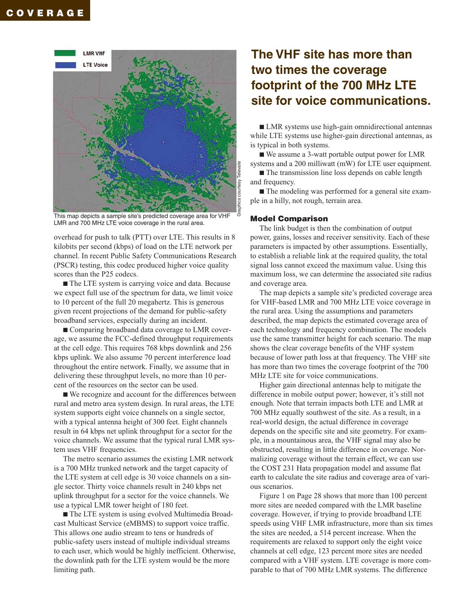

This map depicts a sample site's predicted coverage area for VHF LMR and 700 MHz LTE voice coverage in the rural area.

overhead for push to talk (PTT) over LTE. This results in 8 kilobits per second (kbps) of load on the LTE network per channel. In recent Public Safety Communications Research (PSCR) testing, this codec produced higher voice quality scores than the P25 codecs.

■ The LTE system is carrying voice and data. Because we expect full use of the spectrum for data, we limit voice to 10 percent of the full 20 megahertz. This is generous given recent projections of the demand for public-safety broadband services, especially during an incident.

■ Comparing broadband data coverage to LMR coverage, we assume the FCC-defined throughput requirements at the cell edge. This requires 768 kbps downlink and 256 kbps uplink. We also assume 70 percent interference load throughout the entire network. Finally, we assume that in delivering these throughput levels, no more than 10 percent of the resources on the sector can be used.

■ We recognize and account for the differences between rural and metro area system design. In rural areas, the LTE system supports eight voice channels on a single sector, with a typical antenna height of 300 feet. Eight channels result in 64 kbps net uplink throughput for a sector for the voice channels. We assume that the typical rural LMR system uses VHF frequencies.

The metro scenario assumes the existing LMR network is a 700 MHz trunked network and the target capacity of the LTE system at cell edge is 30 voice channels on a single sector. Thirty voice channels result in 240 kbps net uplink throughput for a sector for the voice channels. We use a typical LMR tower height of 180 feet.

■ The LTE system is using evolved Multimedia Broadcast Multicast Service (eMBMS) to support voice traffic. This allows one audio stream to tens or hundreds of public-safety users instead of multiple individual streams to each user, which would be highly inefficient. Otherwise, the downlink path for the LTE system would be the more limiting path.

## **The VHF site has more than two times the coverage footprint of the 700 MHz LTE site for voice communications.**

■ LMR systems use high-gain omnidirectional antennas while LTE systems use higher-gain directional antennas, as is typical in both systems.

■ We assume a 3-watt portable output power for LMR systems and a 200 milliwatt (mW) for LTE user equipment.

■ The transmission line loss depends on cable length and frequency.

■ The modeling was performed for a general site example in a hilly, not rough, terrain area.

#### **Model Comparison**

Graphics courtesy Televate

SSI

The link budget is then the combination of output power, gains, losses and receiver sensitivity. Each of these parameters is impacted by other assumptions. Essentially, to establish a reliable link at the required quality, the total signal loss cannot exceed the maximum value. Using this maximum loss, we can determine the associated site radius and coverage area.

The map depicts a sample site's predicted coverage area for VHF-based LMR and 700 MHz LTE voice coverage in the rural area. Using the assumptions and parameters described, the map depicts the estimated coverage area of each technology and frequency combination. The models use the same transmitter height for each scenario. The map shows the clear coverage benefits of the VHF system because of lower path loss at that frequency. The VHF site has more than two times the coverage footprint of the 700 MHz LTE site for voice communications.

Higher gain directional antennas help to mitigate the difference in mobile output power; however, it's still not enough. Note that terrain impacts both LTE and LMR at 700 MHz equally southwest of the site. As a result, in a real-world design, the actual difference in coverage depends on the specific site and site geometry. For example, in a mountainous area, the VHF signal may also be obstructed, resulting in little difference in coverage. Normalizing coverage without the terrain effect, we can use the COST 231 Hata propagation model and assume flat earth to calculate the site radius and coverage area of various scenarios.

Figure 1 on Page 28 shows that more than 100 percent more sites are needed compared with the LMR baseline coverage. However, if trying to provide broadband LTE speeds using VHF LMR infrastructure, more than six times the sites are needed, a 514 percent increase. When the requirements are relaxed to support only the eight voice channels at cell edge, 123 percent more sites are needed compared with a VHF system. LTE coverage is more comparable to that of 700 MHz LMR systems. The difference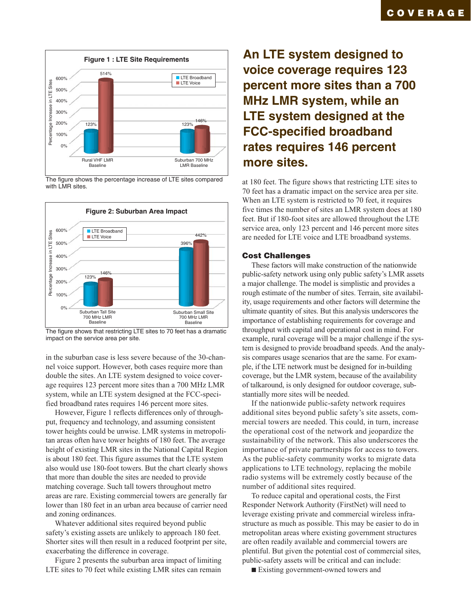

The figure shows the percentage increase of LTE sites compared with LMR sites.



The figure shows that restricting LTE sites to 70 feet has a dramatic impact on the service area per site.

in the suburban case is less severe because of the 30-channel voice support. However, both cases require more than double the sites. An LTE system designed to voice coverage requires 123 percent more sites than a 700 MHz LMR system, while an LTE system designed at the FCC-specified broadband rates requires 146 percent more sites.

However, Figure 1 reflects differences only of throughput, frequency and technology, and assuming consistent tower heights could be unwise. LMR systems in metropolitan areas often have tower heights of 180 feet. The average height of existing LMR sites in the National Capital Region is about 180 feet. This figure assumes that the LTE system also would use 180-foot towers. But the chart clearly shows that more than double the sites are needed to provide matching coverage. Such tall towers throughout metro areas are rare. Existing commercial towers are generally far lower than 180 feet in an urban area because of carrier need and zoning ordinances.

Whatever additional sites required beyond public safety's existing assets are unlikely to approach 180 feet. Shorter sites will then result in a reduced footprint per site, exacerbating the difference in coverage.

Figure 2 presents the suburban area impact of limiting LTE sites to 70 feet while existing LMR sites can remain

# **An LTE system designed to voice coverage requires 123 percent more sites than a 700 MHz LMR system, while an LTE system designed at the FCC-specified broadband rates requires 146 percent more sites.**

at 180 feet. The figure shows that restricting LTE sites to 70 feet has a dramatic impact on the service area per site. When an LTE system is restricted to 70 feet, it requires five times the number of sites an LMR system does at 180 feet. But if 180-foot sites are allowed throughout the LTE service area, only 123 percent and 146 percent more sites are needed for LTE voice and LTE broadband systems.

### **Cost Challenges**

These factors will make construction of the nationwide public-safety network using only public safety's LMR assets a major challenge. The model is simplistic and provides a rough estimate of the number of sites. Terrain, site availability, usage requirements and other factors will determine the ultimate quantity of sites. But this analysis underscores the importance of establishing requirements for coverage and throughput with capital and operational cost in mind. For example, rural coverage will be a major challenge if the system is designed to provide broadband speeds. And the analysis compares usage scenarios that are the same. For example, if the LTE network must be designed for in-building coverage, but the LMR system, because of the availability of talkaround, is only designed for outdoor coverage, substantially more sites will be needed.

If the nationwide public-safety network requires additional sites beyond public safety's site assets, commercial towers are needed. This could, in turn, increase the operational cost of the network and jeopardize the sustainability of the network. This also underscores the importance of private partnerships for access to towers. As the public-safety community works to migrate data applications to LTE technology, replacing the mobile radio systems will be extremely costly because of the number of additional sites required.

To reduce capital and operational costs, the First Responder Network Authority (FirstNet) will need to leverage existing private and commercial wireless infrastructure as much as possible. This may be easier to do in metropolitan areas where existing government structures are often readily available and commercial towers are plentiful. But given the potential cost of commercial sites, public-safety assets will be critical and can include:

■ Existing government-owned towers and